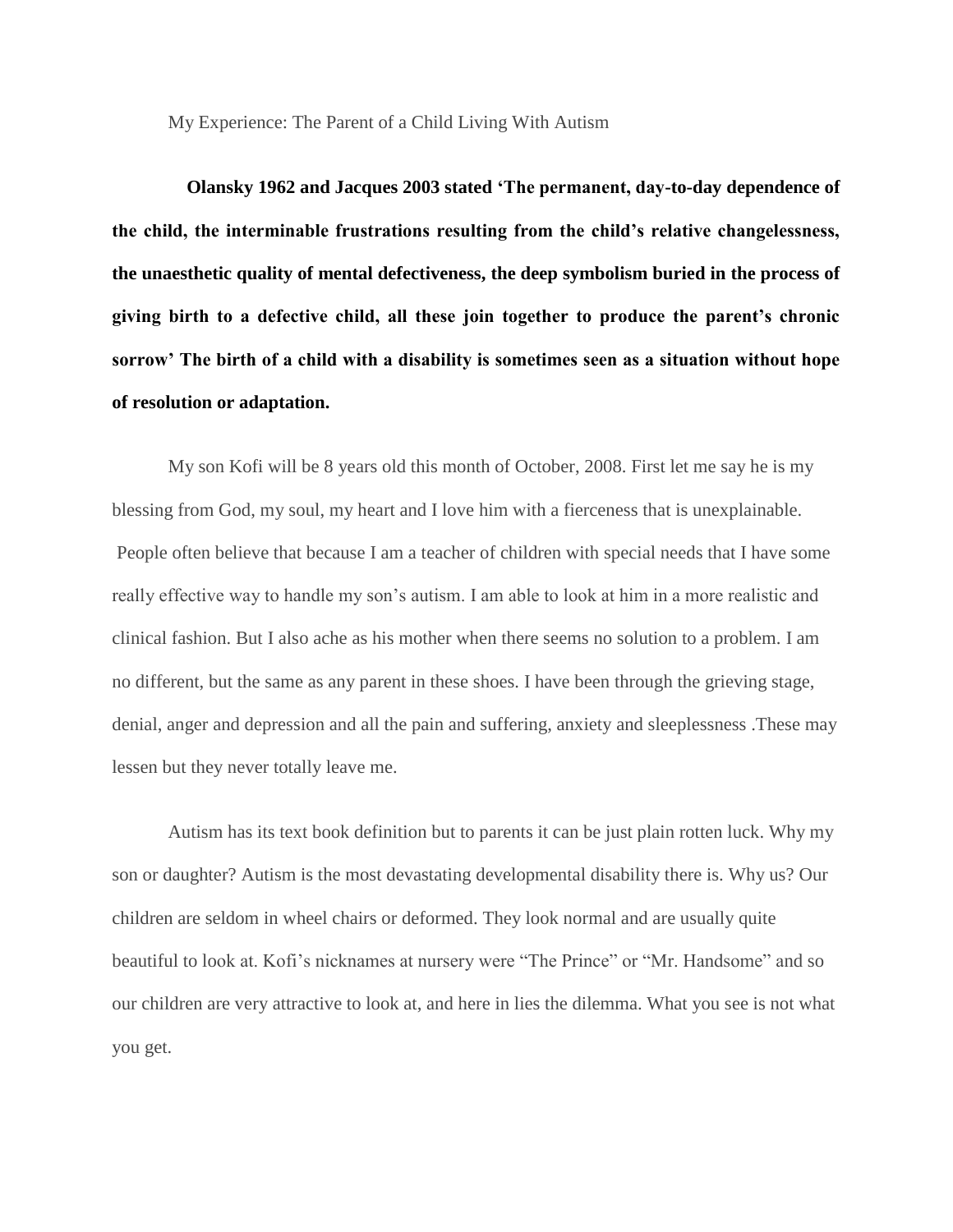My Experience: The Parent of a Child Living With Autism

 **Olansky 1962 and Jacques 2003 stated 'The permanent, day-to-day dependence of the child, the interminable frustrations resulting from the child's relative changelessness, the unaesthetic quality of mental defectiveness, the deep symbolism buried in the process of giving birth to a defective child, all these join together to produce the parent's chronic sorrow' The birth of a child with a disability is sometimes seen as a situation without hope of resolution or adaptation.**

My son Kofi will be 8 years old this month of October, 2008. First let me say he is my blessing from God, my soul, my heart and I love him with a fierceness that is unexplainable. People often believe that because I am a teacher of children with special needs that I have some really effective way to handle my son's autism. I am able to look at him in a more realistic and clinical fashion. But I also ache as his mother when there seems no solution to a problem. I am no different, but the same as any parent in these shoes. I have been through the grieving stage, denial, anger and depression and all the pain and suffering, anxiety and sleeplessness .These may lessen but they never totally leave me.

Autism has its text book definition but to parents it can be just plain rotten luck. Why my son or daughter? Autism is the most devastating developmental disability there is. Why us? Our children are seldom in wheel chairs or deformed. They look normal and are usually quite beautiful to look at. Kofi's nicknames at nursery were "The Prince" or "Mr. Handsome" and so our children are very attractive to look at, and here in lies the dilemma. What you see is not what you get.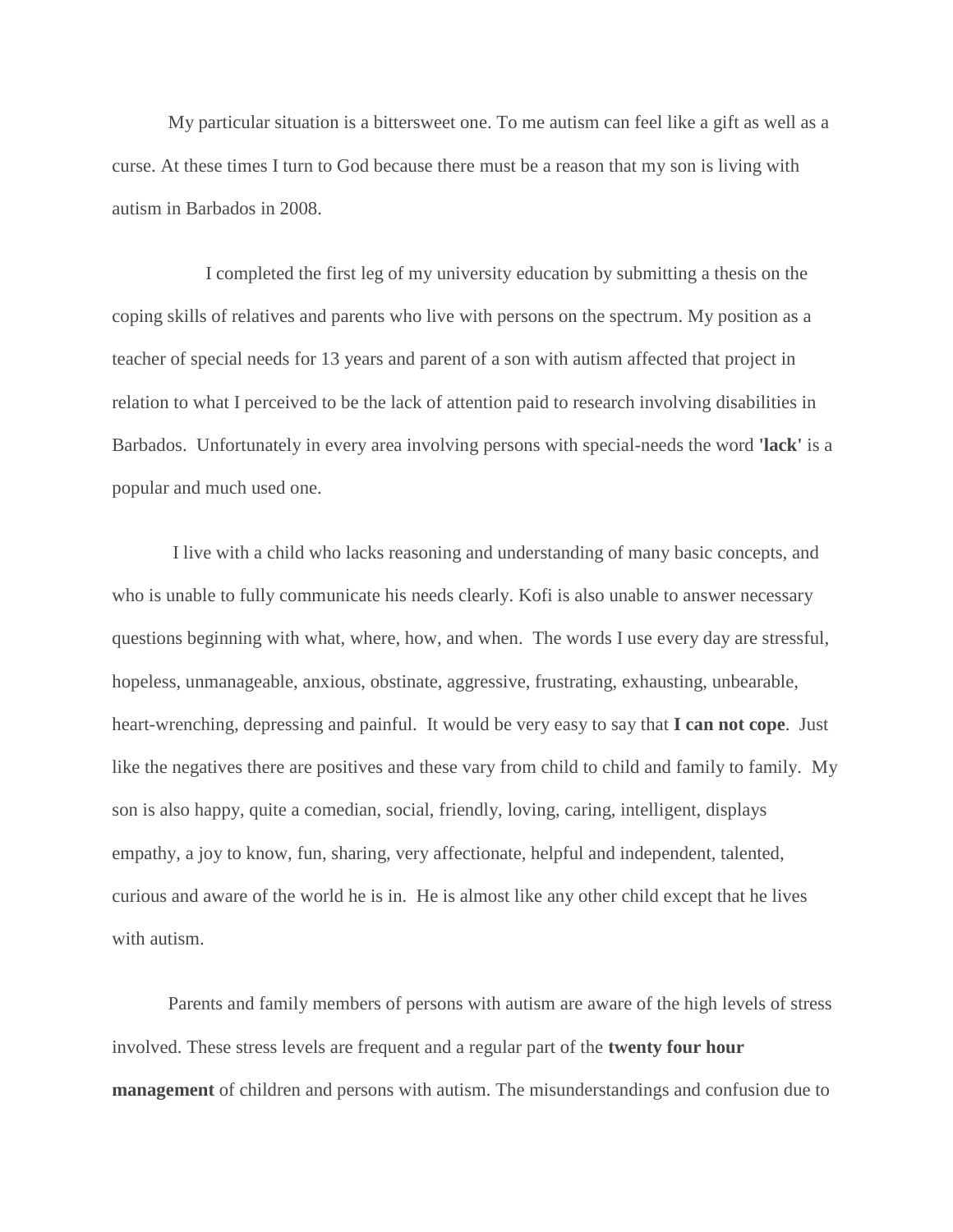My particular situation is a bittersweet one. To me autism can feel like a gift as well as a curse. At these times I turn to God because there must be a reason that my son is living with autism in Barbados in 2008.

 I completed the first leg of my university education by submitting a thesis on the coping skills of relatives and parents who live with persons on the spectrum. My position as a teacher of special needs for 13 years and parent of a son with autism affected that project in relation to what I perceived to be the lack of attention paid to research involving disabilities in Barbados. Unfortunately in every area involving persons with special-needs the word **'lack'** is a popular and much used one.

I live with a child who lacks reasoning and understanding of many basic concepts, and who is unable to fully communicate his needs clearly. Kofi is also unable to answer necessary questions beginning with what, where, how, and when. The words I use every day are stressful, hopeless, unmanageable, anxious, obstinate, aggressive, frustrating, exhausting, unbearable, heart-wrenching, depressing and painful. It would be very easy to say that **I can not cope**. Just like the negatives there are positives and these vary from child to child and family to family. My son is also happy, quite a comedian, social, friendly, loving, caring, intelligent, displays empathy, a joy to know, fun, sharing, very affectionate, helpful and independent, talented, curious and aware of the world he is in. He is almost like any other child except that he lives with autism.

Parents and family members of persons with autism are aware of the high levels of stress involved. These stress levels are frequent and a regular part of the **twenty four hour management** of children and persons with autism. The misunderstandings and confusion due to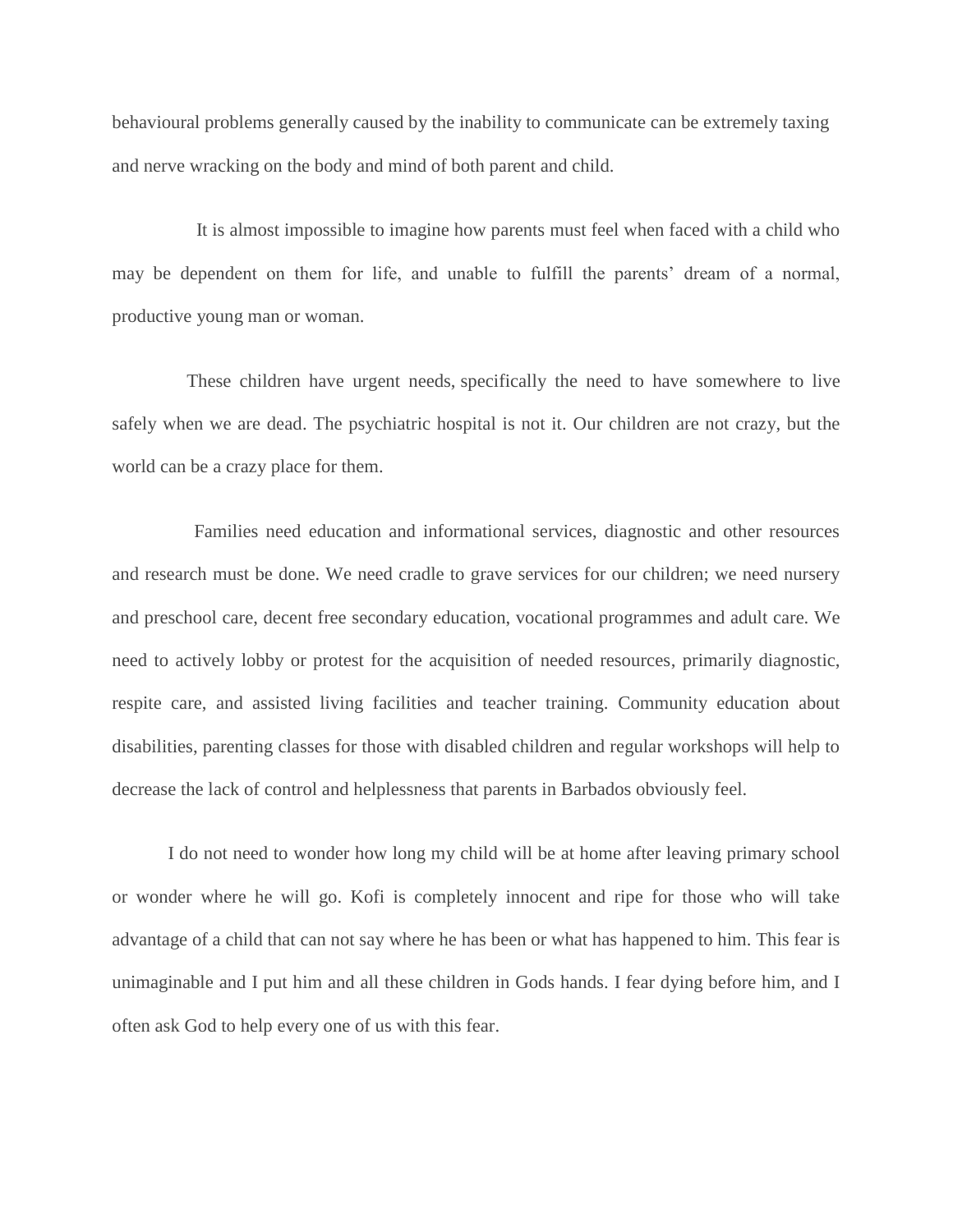behavioural problems generally caused by the inability to communicate can be extremely taxing and nerve wracking on the body and mind of both parent and child.

 It is almost impossible to imagine how parents must feel when faced with a child who may be dependent on them for life, and unable to fulfill the parents' dream of a normal, productive young man or woman.

 These children have urgent needs, specifically the need to have somewhere to live safely when we are dead. The psychiatric hospital is not it. Our children are not crazy, but the world can be a crazy place for them.

 Families need education and informational services, diagnostic and other resources and research must be done. We need cradle to grave services for our children; we need nursery and preschool care, decent free secondary education, vocational programmes and adult care. We need to actively lobby or protest for the acquisition of needed resources, primarily diagnostic, respite care, and assisted living facilities and teacher training. Community education about disabilities, parenting classes for those with disabled children and regular workshops will help to decrease the lack of control and helplessness that parents in Barbados obviously feel.

I do not need to wonder how long my child will be at home after leaving primary school or wonder where he will go. Kofi is completely innocent and ripe for those who will take advantage of a child that can not say where he has been or what has happened to him. This fear is unimaginable and I put him and all these children in Gods hands. I fear dying before him, and I often ask God to help every one of us with this fear.